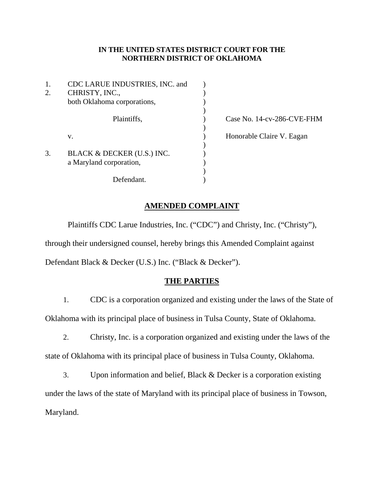### **IN THE UNITED STATES DISTRICT COURT FOR THE NORTHERN DISTRICT OF OKLAHOMA**

| 1.<br>2. | CDC LARUE INDUSTRIES, INC. and<br>CHRISTY, INC.,<br>both Oklahoma corporations, |  |
|----------|---------------------------------------------------------------------------------|--|
|          | Plaintiffs,                                                                     |  |
|          | v.                                                                              |  |
| 3.       | BLACK & DECKER (U.S.) INC.<br>a Maryland corporation,                           |  |
|          | Defendant.                                                                      |  |

) Case No. 14-cv-286-CVE-FHM ) Honorable Claire V. Eagan

## **AMENDED COMPLAINT**

Plaintiffs CDC Larue Industries, Inc. ("CDC") and Christy, Inc. ("Christy"), through their undersigned counsel, hereby brings this Amended Complaint against Defendant Black & Decker (U.S.) Inc. ("Black & Decker").

## **THE PARTIES**

- 1. CDC is a corporation organized and existing under the laws of the State of Oklahoma with its principal place of business in Tulsa County, State of Oklahoma.
- 2. Christy, Inc. is a corporation organized and existing under the laws of the state of Oklahoma with its principal place of business in Tulsa County, Oklahoma.

3. Upon information and belief, Black & Decker is a corporation existing under the laws of the state of Maryland with its principal place of business in Towson, Maryland.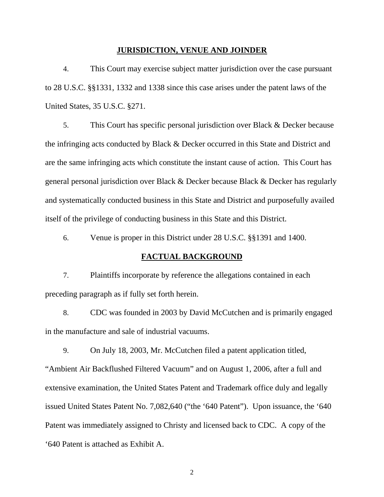#### **JURISDICTION, VENUE AND JOINDER**

4. This Court may exercise subject matter jurisdiction over the case pursuant to 28 U.S.C. §§1331, 1332 and 1338 since this case arises under the patent laws of the United States, 35 U.S.C. §271.

5. This Court has specific personal jurisdiction over Black & Decker because the infringing acts conducted by Black & Decker occurred in this State and District and are the same infringing acts which constitute the instant cause of action. This Court has general personal jurisdiction over Black & Decker because Black & Decker has regularly and systematically conducted business in this State and District and purposefully availed itself of the privilege of conducting business in this State and this District.

6. Venue is proper in this District under 28 U.S.C. §§1391 and 1400.

#### **FACTUAL BACKGROUND**

7. Plaintiffs incorporate by reference the allegations contained in each preceding paragraph as if fully set forth herein.

8. CDC was founded in 2003 by David McCutchen and is primarily engaged in the manufacture and sale of industrial vacuums.

9. On July 18, 2003, Mr. McCutchen filed a patent application titled, "Ambient Air Backflushed Filtered Vacuum" and on August 1, 2006, after a full and extensive examination, the United States Patent and Trademark office duly and legally issued United States Patent No. 7,082,640 ("the '640 Patent"). Upon issuance, the '640 Patent was immediately assigned to Christy and licensed back to CDC. A copy of the '640 Patent is attached as Exhibit A.

2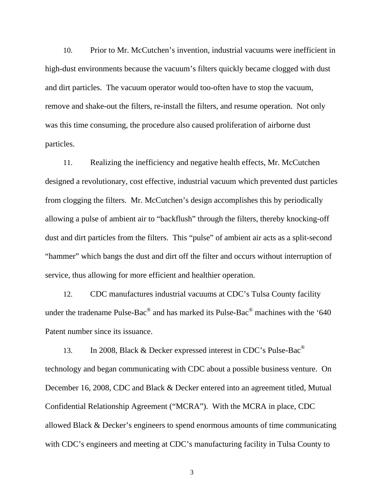10. Prior to Mr. McCutchen's invention, industrial vacuums were inefficient in high-dust environments because the vacuum's filters quickly became clogged with dust and dirt particles. The vacuum operator would too-often have to stop the vacuum, remove and shake-out the filters, re-install the filters, and resume operation. Not only was this time consuming, the procedure also caused proliferation of airborne dust particles.

11. Realizing the inefficiency and negative health effects, Mr. McCutchen designed a revolutionary, cost effective, industrial vacuum which prevented dust particles from clogging the filters. Mr. McCutchen's design accomplishes this by periodically allowing a pulse of ambient air to "backflush" through the filters, thereby knocking-off dust and dirt particles from the filters. This "pulse" of ambient air acts as a split-second "hammer" which bangs the dust and dirt off the filter and occurs without interruption of service, thus allowing for more efficient and healthier operation.

12. CDC manufactures industrial vacuums at CDC's Tulsa County facility under the tradename Pulse-Bac<sup>®</sup> and has marked its Pulse-Bac<sup>®</sup> machines with the '640 Patent number since its issuance.

13. In 2008, Black & Decker expressed interest in CDC's Pulse-Bac<sup>®</sup> technology and began communicating with CDC about a possible business venture. On December 16, 2008, CDC and Black & Decker entered into an agreement titled, Mutual Confidential Relationship Agreement ("MCRA"). With the MCRA in place, CDC allowed Black & Decker's engineers to spend enormous amounts of time communicating with CDC's engineers and meeting at CDC's manufacturing facility in Tulsa County to

3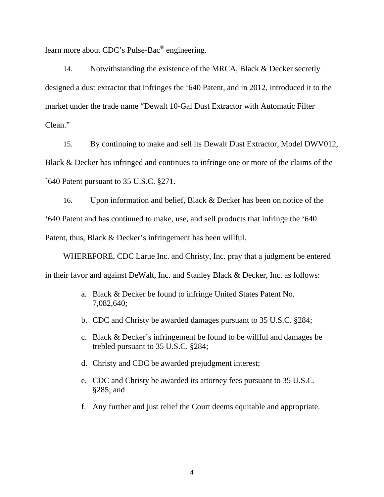learn more about CDC's Pulse-Bac® engineering.

14. Notwithstanding the existence of the MRCA, Black & Decker secretly designed a dust extractor that infringes the '640 Patent, and in 2012, introduced it to the market under the trade name "Dewalt 10-Gal Dust Extractor with Automatic Filter Clean."

15. By continuing to make and sell its Dewalt Dust Extractor, Model DWV012, Black & Decker has infringed and continues to infringe one or more of the claims of the `640 Patent pursuant to 35 U.S.C. §271.

16. Upon information and belief, Black & Decker has been on notice of the '640 Patent and has continued to make, use, and sell products that infringe the '640 Patent, thus, Black & Decker's infringement has been willful.

WHEREFORE, CDC Larue Inc. and Christy, Inc. pray that a judgment be entered in their favor and against DeWalt, Inc. and Stanley Black & Decker, Inc. as follows:

- a. Black & Decker be found to infringe United States Patent No. 7,082,640;
- b. CDC and Christy be awarded damages pursuant to 35 U.S.C. §284;
- c. Black & Decker's infringement be found to be willful and damages be trebled pursuant to 35 U.S.C. §284;
- d. Christy and CDC be awarded prejudgment interest;
- e. CDC and Christy be awarded its attorney fees pursuant to 35 U.S.C. §285; and
- f. Any further and just relief the Court deems equitable and appropriate.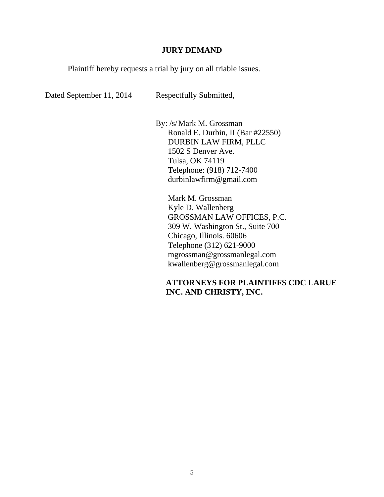#### **JURY DEMAND**

Plaintiff hereby requests a trial by jury on all triable issues.

Dated September 11, 2014 Respectfully Submitted,

By: /s/ Mark M. Grossman Ronald E. Durbin, II (Bar #22550) DURBIN LAW FIRM, PLLC 1502 S Denver Ave. Tulsa, OK 74119 Telephone: (918) 712-7400 durbinlawfirm@gmail.com

 Mark M. Grossman Kyle D. Wallenberg GROSSMAN LAW OFFICES, P.C. 309 W. Washington St., Suite 700 Chicago, Illinois. 60606 Telephone (312) 621-9000 mgrossman@grossmanlegal.com kwallenberg@grossmanlegal.com

# **ATTORNEYS FOR PLAINTIFFS CDC LARUE INC. AND CHRISTY, INC.**